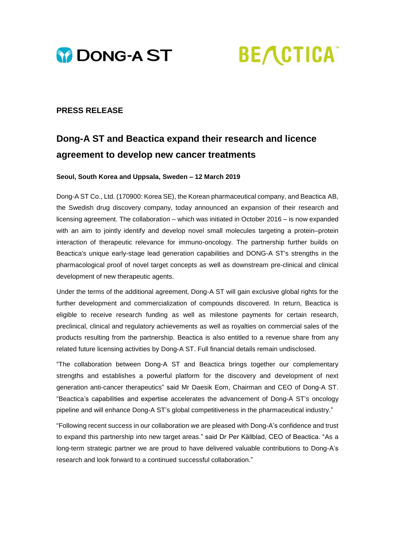



## **PRESS RELEASE**

# **Dong-A ST and Beactica expand their research and licence agreement to develop new cancer treatments**

#### **Seoul, South Korea and Uppsala, Sweden – 12 March 2019**

Dong-A ST Co., Ltd. (170900: Korea SE), the Korean pharmaceutical company, and Beactica AB, the Swedish drug discovery company, today announced an expansion of their research and licensing agreement. The collaboration – which was initiated in October 2016 – is now expanded with an aim to jointly identify and develop novel small molecules targeting a protein–protein interaction of therapeutic relevance for immuno-oncology. The partnership further builds on Beactica's unique early-stage lead generation capabilities and DONG-A ST's strengths in the pharmacological proof of novel target concepts as well as downstream pre-clinical and clinical development of new therapeutic agents.

Under the terms of the additional agreement, Dong-A ST will gain exclusive global rights for the further development and commercialization of compounds discovered. In return, Beactica is eligible to receive research funding as well as milestone payments for certain research, preclinical, clinical and regulatory achievements as well as royalties on commercial sales of the products resulting from the partnership. Beactica is also entitled to a revenue share from any related future licensing activities by Dong-A ST. Full financial details remain undisclosed.

"The collaboration between Dong-A ST and Beactica brings together our complementary strengths and establishes a powerful platform for the discovery and development of next generation anti-cancer therapeutics" said Mr Daesik Eom, Chairman and CEO of Dong-A ST. "Beactica's capabilities and expertise accelerates the advancement of Dong-A ST's oncology pipeline and will enhance Dong-A ST's global competitiveness in the pharmaceutical industry."

"Following recent success in our collaboration we are pleased with Dong-A's confidence and trust to expand this partnership into new target areas." said Dr Per Källblad, CEO of Beactica. "As a long-term strategic partner we are proud to have delivered valuable contributions to Dong-A's research and look forward to a continued successful collaboration."